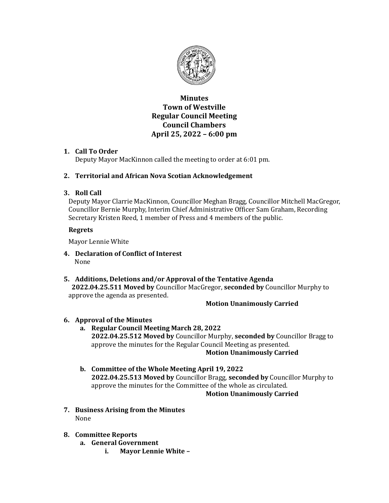

# Minutes Town of Westville Regular Council Meeting Council Chambers April 25, 2022 – 6:00 pm

# 1. Call To Order

Deputy Mayor MacKinnon called the meeting to order at 6:01 pm.

# 2. Territorial and African Nova Scotian Acknowledgement

# 3. Roll Call

Deputy Mayor Clarrie MacKinnon, Councillor Meghan Bragg, Councillor Mitchell MacGregor, Councillor Bernie Murphy, Interim Chief Administrative Officer Sam Graham, Recording Secretary Kristen Reed, 1 member of Press and 4 members of the public.

# Regrets

Mayor Lennie White

- 4. Declaration of Conflict of Interest None
- 5. Additions, Deletions and/or Approval of the Tentative Agenda 2022.04.25.511 Moved by Councillor MacGregor, seconded by Councillor Murphy to approve the agenda as presented.

# Motion Unanimously Carried

# 6. Approval of the Minutes

- a. Regular Council Meeting March 28, 2022 2022.04.25.512 Moved by Councillor Murphy, seconded by Councillor Bragg to approve the minutes for the Regular Council Meeting as presented. Motion Unanimously Carried
- b. Committee of the Whole Meeting April 19, 2022 2022.04.25.513 Moved by Councillor Bragg, seconded by Councillor Murphy to approve the minutes for the Committee of the whole as circulated. Motion Unanimously Carried
- 7. Business Arising from the Minutes None

# 8. Committee Reports

- a. General Government
	- i. Mayor Lennie White –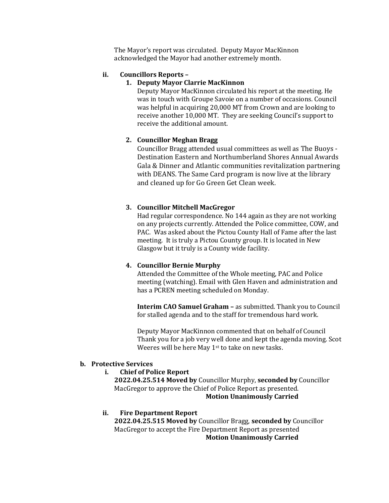The Mayor's report was circulated. Deputy Mayor MacKinnon acknowledged the Mayor had another extremely month.

# ii. Councillors Reports –

#### 1. Deputy Mayor Clarrie MacKinnon

Deputy Mayor MacKinnon circulated his report at the meeting. He was in touch with Groupe Savoie on a number of occasions. Council was helpful in acquiring 20,000 MT from Crown and are looking to receive another 10,000 MT. They are seeking Council's support to receive the additional amount.

#### 2. Councillor Meghan Bragg

Councillor Bragg attended usual committees as well as The Buoys - Destination Eastern and Northumberland Shores Annual Awards Gala & Dinner and Atlantic communities revitalization partnering with DEANS. The Same Card program is now live at the library and cleaned up for Go Green Get Clean week.

#### 3. Councillor Mitchell MacGregor

Had regular correspondence. No 144 again as they are not working on any projects currently. Attended the Police committee, COW, and PAC. Was asked about the Pictou County Hall of Fame after the last meeting. It is truly a Pictou County group. It is located in New Glasgow but it truly is a County wide facility.

### 4. Councillor Bernie Murphy

Attended the Committee of the Whole meeting, PAC and Police meeting (watching). Email with Glen Haven and administration and has a PCREN meeting scheduled on Monday.

Interim CAO Samuel Graham – as submitted. Thank you to Council for stalled agenda and to the staff for tremendous hard work.

Deputy Mayor MacKinnon commented that on behalf of Council Thank you for a job very well done and kept the agenda moving. Scot Weeres will be here May 1<sup>st</sup> to take on new tasks.

#### b. Protective Services

i. Chief of Police Report

2022.04.25.514 Moved by Councillor Murphy, seconded by Councillor MacGregor to approve the Chief of Police Report as presented.

# Motion Unanimously Carried

### ii. Fire Department Report

2022.04.25.515 Moved by Councillor Bragg, seconded by Councillor MacGregor to accept the Fire Department Report as presented Motion Unanimously Carried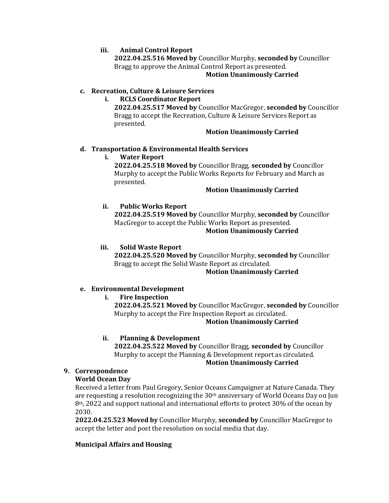# iii. Animal Control Report

2022.04.25.516 Moved by Councillor Murphy, seconded by Councillor Bragg to approve the Animal Control Report as presented.

### Motion Unanimously Carried

# c. Recreation, Culture & Leisure Services

# i. RCLS Coordinator Report

2022.04.25.517 Moved by Councillor MacGregor, seconded by Councillor Bragg to accept the Recreation, Culture & Leisure Services Report as presented.

### Motion Unanimously Carried

# d. Transportation & Environmental Health Services

# i. Water Report

2022.04.25.518 Moved by Councillor Bragg, seconded by Councillor Murphy to accept the Public Works Reports for February and March as presented.

### Motion Unanimously Carried

# ii. Public Works Report

2022.04.25.519 Moved by Councillor Murphy, seconded by Councillor MacGregor to accept the Public Works Report as presented.

# Motion Unanimously Carried

# iii. Solid Waste Report

2022.04.25.520 Moved by Councillor Murphy, seconded by Councillor Bragg to accept the Solid Waste Report as circulated.

# Motion Unanimously Carried

### e. Environmental Development

# i. Fire Inspection

2022.04.25.521 Moved by Councillor MacGregor, seconded by Councillor Murphy to accept the Fire Inspection Report as circulated.

# Motion Unanimously Carried

### ii. Planning & Development

2022.04.25.522 Moved by Councillor Bragg, seconded by Councillor Murphy to accept the Planning & Development report as circulated. Motion Unanimously Carried

### 9. Correspondence

### World Ocean Day

Received a letter from Paul Gregory, Senior Oceans Campaigner at Nature Canada. They are requesting a resolution recognizing the  $30<sup>th</sup>$  anniversary of World Oceans Day on Jun  $8<sup>th</sup>$ , 2022 and support national and international efforts to protect 30% of the ocean by 2030.

2022.04.25.523 Moved by Councillor Murphy, seconded by Councillor MacGregor to accept the letter and post the resolution on social media that day.

# Municipal Affairs and Housing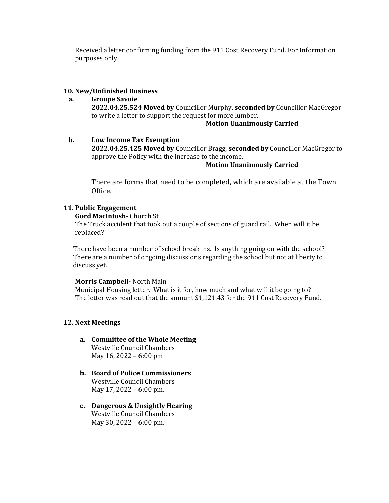Received a letter confirming funding from the 911 Cost Recovery Fund. For Information purposes only.

### 10. New/Unfinished Business

#### a. Groupe Savoie

2022.04.25.524 Moved by Councillor Murphy, seconded by Councillor MacGregor to write a letter to support the request for more lumber.

#### Motion Unanimously Carried

#### b. Low Income Tax Exemption

2022.04.25.425 Moved by Councillor Bragg, seconded by Councillor MacGregor to approve the Policy with the increase to the income.

#### Motion Unanimously Carried

There are forms that need to be completed, which are available at the Town Office.

#### 11. Public Engagement

Gord MacIntosh- Church St

The Truck accident that took out a couple of sections of guard rail. When will it be replaced?

There have been a number of school break ins. Is anything going on with the school? There are a number of ongoing discussions regarding the school but not at liberty to discuss yet.

#### Morris Campbell- North Main

Municipal Housing letter. What is it for, how much and what will it be going to? The letter was read out that the amount \$1,121.43 for the 911 Cost Recovery Fund.

#### 12. Next Meetings

- a. Committee of the Whole Meeting Westville Council Chambers May 16, 2022 – 6:00 pm
- b. Board of Police Commissioners Westville Council Chambers May 17, 2022 – 6:00 pm.
- c. Dangerous & Unsightly Hearing Westville Council Chambers May 30, 2022 – 6:00 pm.